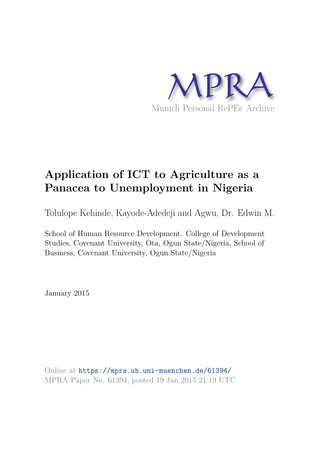

# **Application of ICT to Agriculture as a Panacea to Unemployment in Nigeria**

Tolulope Kehinde, Kayode-Adedeji and Agwu, Dr. Edwin M.

School of Human Resource Development. College of Development Studies, Covenant University, Ota, Ogun State/Nigeria, School of Business, Covenant University, Ogun State/Nigeria

January 2015

Online at https://mpra.ub.uni-muenchen.de/61394/ MPRA Paper No. 61394, posted 19 Jan 2015 21:19 UTC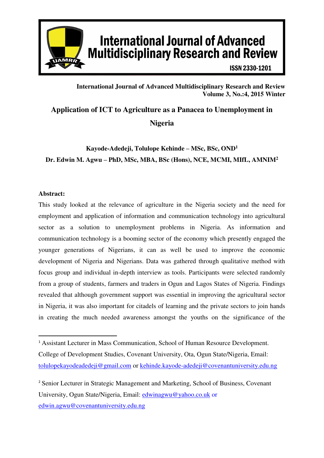

# **International Journal of Advanced Multidisciplinary Research and Review**

**ISSN 2330-1201** 

# **International Journal of Advanced Multidisciplinary Research and Review Volume 3, No.:4, 2015 Winter**

**Application of ICT to Agriculture as a Panacea to Unemployment in Nigeria** 

# **Kayode-Adedeji, Tolulope Kehinde – MSc, BSc, OND<sup>1</sup> Dr. Edwin M. Agwu – PhD, MSc, MBA, BSc (Hons), NCE, MCMI, MIfL, AMNIM<sup>2</sup>**

## **Abstract:**

This study looked at the relevance of agriculture in the Nigeria society and the need for employment and application of information and communication technology into agricultural sector as a solution to unemployment problems in Nigeria. As information and communication technology is a booming sector of the economy which presently engaged the younger generations of Nigerians, it can as well be used to improve the economic development of Nigeria and Nigerians. Data was gathered through qualitative method with focus group and individual in-depth interview as tools. Participants were selected randomly from a group of students, farmers and traders in Ogun and Lagos States of Nigeria. Findings revealed that although government support was essential in improving the agricultural sector in Nigeria, it was also important for citadels of learning and the private sectors to join hands in creating the much needed awareness amongst the youths on the significance of the

<sup>-</sup><sup>1</sup> Assistant Lecturer in Mass Communication, School of Human Resource Development. College of Development Studies, Covenant University, Ota, Ogun State/Nigeria, Email: [tolulopekayodeadedeji@gmail.com](mailto:tolulopekayodeadedeji@gmail.com) or [kehinde.kayode-adedeji@covenantuniversity.edu.ng](mailto:kehinde.kayode-adedeji@covenantuniversity.edu.ng) 

<sup>2</sup> Senior Lecturer in Strategic Management and Marketing, School of Business, Covenant University, Ogun State/Nigeria, Email: [edwinagwu@yahoo.co.uk](mailto:edwinagwu@yahoo.co.uk) or [edwin.agwu@covenantuniversity.edu.ng](mailto:edwin.agwu@covenantuniversity.edu.ng)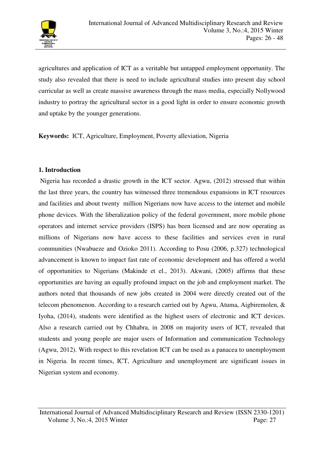

agricultures and application of ICT as a veritable but untapped employment opportunity. The study also revealed that there is need to include agricultural studies into present day school curricular as well as create massive awareness through the mass media, especially Nollywood industry to portray the agricultural sector in a good light in order to ensure economic growth and uptake by the younger generations.

**Keywords:** ICT, Agriculture, Employment, Poverty alleviation, Nigeria

## **1. Introduction**

 Nigeria has recorded a drastic growth in the ICT sector. Agwu, (2012) stressed that within the last three years, the country has witnessed three tremendous expansions in ICT resources and facilities and about twenty million Nigerians now have access to the internet and mobile phone devices. With the liberalization policy of the federal government, more mobile phone operators and internet service providers (ISPS) has been licensed and are now operating as millions of Nigerians now have access to these facilities and services even in rural communities (Nwabueze and Ozioko 2011). According to Posu (2006, p.327) technological advancement is known to impact fast rate of economic development and has offered a world of opportunities to Nigerians (Makinde et el., 2013). Akwani, (2005) affirms that these opportunities are having an equally profound impact on the job and employment market. The authors noted that thousands of new jobs created in 2004 were directly created out of the telecom phenomenon. According to a research carried out by Agwu, Atuma, Aigbiremolen, & Iyoha, (2014), students were identified as the highest users of electronic and ICT devices. Also a research carried out by Chhabra, in 2008 on majority users of ICT, revealed that students and young people are major users of Information and communication Technology (Agwu, 2012). With respect to this revelation ICT can be used as a panacea to unemployment in Nigeria. In recent times, ICT, Agriculture and unemployment are significant issues in Nigerian system and economy.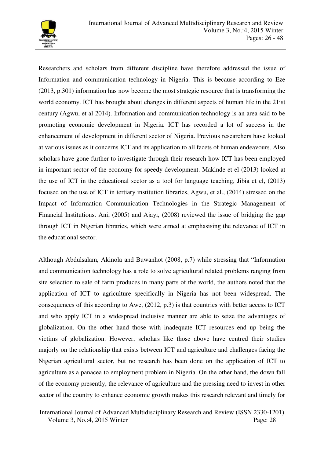

Researchers and scholars from different discipline have therefore addressed the issue of Information and communication technology in Nigeria. This is because according to Eze (2013, p.301) information has now become the most strategic resource that is transforming the world economy. ICT has brought about changes in different aspects of human life in the 21ist century (Agwu, et al 2014). Information and communication technology is an area said to be promoting economic development in Nigeria. ICT has recorded a lot of success in the enhancement of development in different sector of Nigeria. Previous researchers have looked at various issues as it concerns ICT and its application to all facets of human endeavours. Also scholars have gone further to investigate through their research how ICT has been employed in important sector of the economy for speedy development. Makinde et el (2013) looked at the use of ICT in the educational sector as a tool for language teaching, Jibia et el, (2013) focused on the use of ICT in tertiary institution libraries, Agwu, et al., (2014) stressed on the Impact of Information Communication Technologies in the Strategic Management of Financial Institutions. Ani, (2005) and Ajayi, (2008) reviewed the issue of bridging the gap through ICT in Nigerian libraries, which were aimed at emphasising the relevance of ICT in the educational sector.

Although Abdulsalam, Akinola and Buwanhot (2008, p.7) while stressing that "Information and communication technology has a role to solve agricultural related problems ranging from site selection to sale of farm produces in many parts of the world, the authors noted that the application of ICT to agriculture specifically in Nigeria has not been widespread. The consequences of this according to Awe, (2012, p.3) is that countries with better access to ICT and who apply ICT in a widespread inclusive manner are able to seize the advantages of globalization. On the other hand those with inadequate ICT resources end up being the victims of globalization. However, scholars like those above have centred their studies majorly on the relationship that exists between ICT and agriculture and challenges facing the Nigerian agricultural sector, but no research has been done on the application of ICT to agriculture as a panacea to employment problem in Nigeria. On the other hand, the down fall of the economy presently, the relevance of agriculture and the pressing need to invest in other sector of the country to enhance economic growth makes this research relevant and timely for

International Journal of Advanced Multidisciplinary Research and Review (ISSN 2330-1201) Volume 3, No.:4, 2015 Winter Page: 28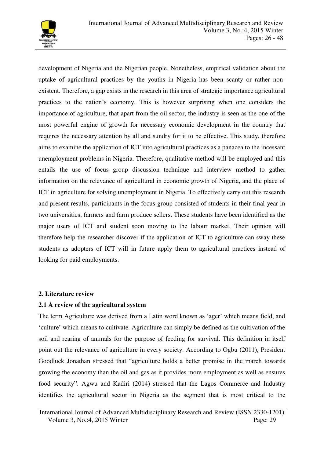

development of Nigeria and the Nigerian people. Nonetheless, empirical validation about the uptake of agricultural practices by the youths in Nigeria has been scanty or rather nonexistent. Therefore, a gap exists in the research in this area of strategic importance agricultural practices to the nation's economy. This is however surprising when one considers the importance of agriculture, that apart from the oil sector, the industry is seen as the one of the most powerful engine of growth for necessary economic development in the country that requires the necessary attention by all and sundry for it to be effective. This study, therefore aims to examine the application of ICT into agricultural practices as a panacea to the incessant unemployment problems in Nigeria. Therefore, qualitative method will be employed and this entails the use of focus group discussion technique and interview method to gather information on the relevance of agricultural in economic growth of Nigeria, and the place of ICT in agriculture for solving unemployment in Nigeria. To effectively carry out this research and present results, participants in the focus group consisted of students in their final year in two universities, farmers and farm produce sellers. These students have been identified as the major users of ICT and student soon moving to the labour market. Their opinion will therefore help the researcher discover if the application of ICT to agriculture can sway these students as adopters of ICT will in future apply them to agricultural practices instead of looking for paid employments.

## **2. Literature review**

## **2.1 A review of the agricultural system**

The term Agriculture was derived from a Latin word known as 'ager' which means field, and 'culture' which means to cultivate. Agriculture can simply be defined as the cultivation of the soil and rearing of animals for the purpose of feeding for survival. This definition in itself point out the relevance of agriculture in every society. According to Ogbu (2011), President Goodluck Jonathan stressed that "agriculture holds a better promise in the march towards growing the economy than the oil and gas as it provides more employment as well as ensures food security". Agwu and Kadiri (2014) stressed that the Lagos Commerce and Industry identifies the agricultural sector in Nigeria as the segment that is most critical to the

International Journal of Advanced Multidisciplinary Research and Review (ISSN 2330-1201) Volume 3, No.:4, 2015 Winter Page: 29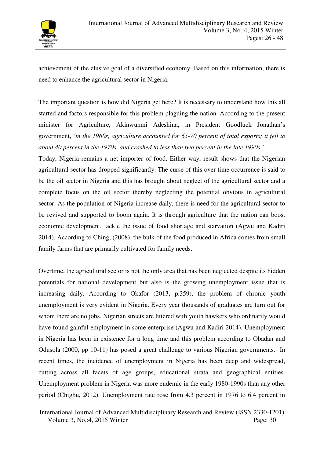

achievement of the elusive goal of a diversified economy. Based on this information, there is need to enhance the agricultural sector in Nigeria.

The important question is how did Nigeria get here? It is necessary to understand how this all started and factors responsible for this problem plaguing the nation. According to the present minister for Agriculture, Akinwunmi Adeshina, in President Goodluck Jonathan's government, *'in the 1960s, agriculture accounted for 65-70 percent of total exports; it fell to about 40 percent in the 1970s, and crashed to less than two percent in the late 1990s.*'

Today, Nigeria remains a net importer of food. Either way, result shows that the Nigerian agricultural sector has dropped significantly. The curse of this over time occurrence is said to be the oil sector in Nigeria and this has brought about neglect of the agricultural sector and a complete focus on the oil sector thereby neglecting the potential obvious in agricultural sector. As the population of Nigeria increase daily, there is need for the agricultural sector to be revived and supported to boom again. It is through agriculture that the nation can boost economic development, tackle the issue of food shortage and starvation (Agwu and Kadiri 2014). According to Ching, (2008), the bulk of the food produced in Africa comes from small family farms that are primarily cultivated for family needs.

Overtime, the agricultural sector is not the only area that has been neglected despite its hidden potentials for national development but also is the growing unemployment issue that is increasing daily. According to Okafor (2013, p.359), the problem of chronic youth unemployment is very evident in Nigeria. Every year thousands of graduates are turn out for whom there are no jobs. Nigerian streets are littered with youth hawkers who ordinarily would have found gainful employment in some enterprise (Agwu and Kadiri 2014). Unemployment in Nigeria has been in existence for a long time and this problem according to Obadan and Odusola (2000, pp 10-11) has posed a great challenge to various Nigerian governments. In recent times, the incidence of unemployment in Nigeria has been deep and widespread, cutting across all facets of age groups, educational strata and geographical entities. Unemployment problem in Nigeria was more endemic in the early 1980-1990s than any other period (Chigbu, 2012). Unemployment rate rose from 4.3 percent in 1976 to 6.4 percent in

International Journal of Advanced Multidisciplinary Research and Review (ISSN 2330-1201) Volume 3, No.:4, 2015 Winter Page: 30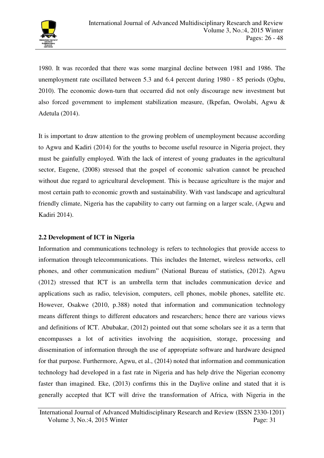

1980. It was recorded that there was some marginal decline between 1981 and 1986. The unemployment rate oscillated between 5.3 and 6.4 percent during 1980 - 85 periods (Ogbu, 2010). The economic down-turn that occurred did not only discourage new investment but also forced government to implement stabilization measure, (Ikpefan, Owolabi, Agwu & Adetula (2014).

It is important to draw attention to the growing problem of unemployment because according to Agwu and Kadiri (2014) for the youths to become useful resource in Nigeria project, they must be gainfully employed. With the lack of interest of young graduates in the agricultural sector, Eugene, (2008) stressed that the gospel of economic salvation cannot be preached without due regard to agricultural development. This is because agriculture is the major and most certain path to economic growth and sustainability. With vast landscape and agricultural friendly climate, Nigeria has the capability to carry out farming on a larger scale, (Agwu and Kadiri 2014).

# **2.2 Development of ICT in Nigeria**

Information and communications technology is refers to technologies that provide access to information through telecommunications. This includes the Internet, wireless networks, cell phones, and other communication medium" (National Bureau of statistics, (2012). Agwu (2012) stressed that ICT is an umbrella term that includes communication device and applications such as radio, television, computers, cell phones, mobile phones, satellite etc. However, Osakwe (2010, p.388) noted that information and communication technology means different things to different educators and researchers; hence there are various views and definitions of ICT. Abubakar, (2012) pointed out that some scholars see it as a term that encompasses a lot of activities involving the acquisition, storage, processing and dissemination of information through the use of appropriate software and hardware designed for that purpose. Furthermore, Agwu, et al., (2014) noted that information and communication technology had developed in a fast rate in Nigeria and has help drive the Nigerian economy faster than imagined. Eke, (2013) confirms this in the Daylive online and stated that it is generally accepted that ICT will drive the transformation of Africa, with Nigeria in the

International Journal of Advanced Multidisciplinary Research and Review (ISSN 2330-1201) Volume 3, No.:4, 2015 Winter Page: 31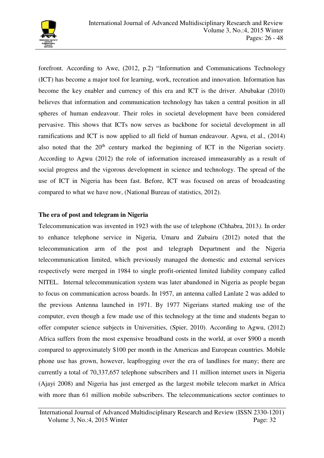

forefront. According to Awe, (2012, p.2) "Information and Communications Technology (ICT) has become a major tool for learning, work, recreation and innovation. Information has become the key enabler and currency of this era and ICT is the driver. Abubakar (2010) believes that information and communication technology has taken a central position in all spheres of human endeavour. Their roles in societal development have been considered pervasive. This shows that ICTs now serves as backbone for societal development in all ramifications and ICT is now applied to all field of human endeavour. Agwu, et al., (2014) also noted that the 20<sup>th</sup> century marked the beginning of ICT in the Nigerian society. According to Agwu (2012) the role of information increased immeasurably as a result of social progress and the vigorous development in science and technology. The spread of the use of ICT in Nigeria has been fast. Before, ICT was focused on areas of broadcasting compared to what we have now, (National Bureau of statistics, 2012).

# **The era of post and telegram in Nigeria**

Telecommunication was invented in 1923 with the use of telephone (Chhabra, 2013*)*. In order to enhance telephone service in Nigeria, Umaru and Zubairu (2012) noted that the telecommunication arm of the post and telegraph Department and the Nigeria telecommunication limited, which previously managed the domestic and external services respectively were merged in 1984 to single profit-oriented limited liability company called NITEL. Internal telecommunication system was later abandoned in Nigeria as people began to focus on communication across boards. In 1957, an antenna called Lanlate 2 was added to the previous Antenna launched in 1971. By 1977 Nigerians started making use of the computer, even though a few made use of this technology at the time and students began to offer computer science subjects in Universities, (Spier, 2010). According to Agwu, (2012) Africa suffers from the most expensive broadband costs in the world, at over \$900 a month compared to approximately \$100 per month in the Americas and European countries. Mobile phone use has grown, however, leapfrogging over the era of landlines for many; there are currently a total of 70,337,657 telephone subscribers and 11 million internet users in Nigeria (Ajayi 2008) and Nigeria has just emerged as the largest mobile telecom market in Africa with more than 61 million mobile subscribers. The telecommunications sector continues to

International Journal of Advanced Multidisciplinary Research and Review (ISSN 2330-1201) Volume 3, No.:4, 2015 Winter Page: 32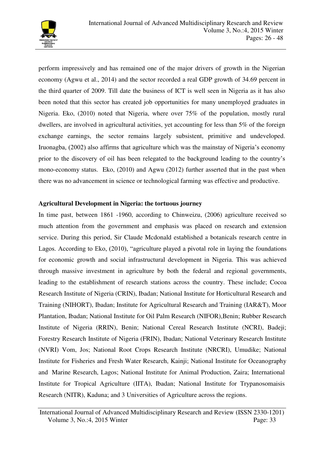

perform impressively and has remained one of the major drivers of growth in the Nigerian economy (Agwu et al., 2014) and the sector recorded a real GDP growth of 34.69 percent in the third quarter of 2009. Till date the business of ICT is well seen in Nigeria as it has also been noted that this sector has created job opportunities for many unemployed graduates in Nigeria. Eko, (2010) noted that Nigeria, where over 75% of the population, mostly rural dwellers, are involved in agricultural activities, yet accounting for less than 5% of the foreign exchange earnings, the sector remains largely subsistent, primitive and undeveloped. Iruonagba, (2002) also affirms that agriculture which was the mainstay of Nigeria's economy prior to the discovery of oil has been relegated to the background leading to the country's mono-economy status. Eko, (2010) and Agwu (2012) further asserted that in the past when there was no advancement in science or technological farming was effective and productive.

## **Agricultural Development in Nigeria: the tortuous journey**

In time past, between 1861 -1960, according to Chinweizu, (2006) agriculture received so much attention from the government and emphasis was placed on research and extension service. During this period, Sir Claude Mcdonald established a botanicals research centre in Lagos. According to Eko, (2010), "agriculture played a pivotal role in laying the foundations for economic growth and social infrastructural development in Nigeria. This was achieved through massive investment in agriculture by both the federal and regional governments, leading to the establishment of research stations across the country. These include; Cocoa Research Institute of Nigeria (CRIN), Ibadan; National Institute for Horticultural Research and Training (NIHORT), Ibadan; Institute for Agricultural Research and Training (IAR&T), Moor Plantation, Ibadan; National Institute for Oil Palm Research (NIFOR),Benin; Rubber Research Institute of Nigeria (RRIN), Benin; National Cereal Research Institute (NCRI), Badeji; Forestry Research Institute of Nigeria (FRIN), Ibadan; National Veterinary Research Institute (NVRI) Vom, Jos; National Root Crops Research Institute (NRCRI), Umudike; National Institute for Fisheries and Fresh Water Research, Kainji; National Institute for Oceanography and Marine Research, Lagos; National Institute for Animal Production, Zaira; International Institute for Tropical Agriculture (IITA), Ibadan; National Institute for Trypanosomaisis Research (NITR), Kaduna; and 3 Universities of Agriculture across the regions.

International Journal of Advanced Multidisciplinary Research and Review (ISSN 2330-1201) Volume 3, No.:4, 2015 Winter Page: 33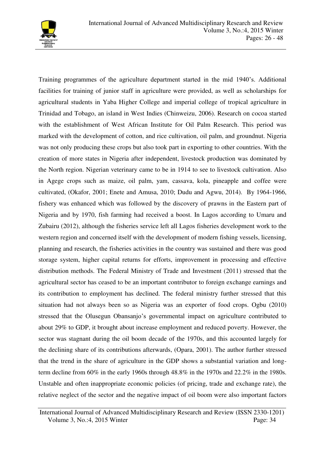

Training programmes of the agriculture department started in the mid 1940's. Additional facilities for training of junior staff in agriculture were provided, as well as scholarships for agricultural students in Yaba Higher College and imperial college of tropical agriculture in Trinidad and Tobago, an island in West Indies (Chinweizu, 2006). Research on cocoa started with the establishment of West African Institute for Oil Palm Research. This period was marked with the development of cotton, and rice cultivation, oil palm, and groundnut. Nigeria was not only producing these crops but also took part in exporting to other countries. With the creation of more states in Nigeria after independent, livestock production was dominated by the North region. Nigerian veterinary came to be in 1914 to see to livestock cultivation. Also in Agege crops such as maize, oil palm, yam, cassava, kola, pineapple and coffee were cultivated, (Okafor, 2001; Enete and Amusa, 2010; Dudu and Agwu, 2014). By 1964-1966, fishery was enhanced which was followed by the discovery of prawns in the Eastern part of Nigeria and by 1970, fish farming had received a boost. In Lagos according to Umaru and Zubairu (2012), although the fisheries service left all Lagos fisheries development work to the western region and concerned itself with the development of modern fishing vessels, licensing, planning and research, the fisheries activities in the country was sustained and there was good storage system, higher capital returns for efforts, improvement in processing and effective distribution methods. The Federal Ministry of Trade and Investment (2011) stressed that the agricultural sector has ceased to be an important contributor to foreign exchange earnings and its contribution to employment has declined. The federal ministry further stressed that this situation had not always been so as Nigeria was an exporter of food crops. Ogbu (2010) stressed that the Olusegun Obansanjo's governmental impact on agriculture contributed to about 29% to GDP, it brought about increase employment and reduced poverty. However, the sector was stagnant during the oil boom decade of the 1970s, and this accounted largely for the declining share of its contributions afterwards, (Opara, 2001). The author further stressed that the trend in the share of agriculture in the GDP shows a substantial variation and longterm decline from 60% in the early 1960s through 48.8% in the 1970s and 22.2% in the 1980s. Unstable and often inappropriate economic policies (of pricing, trade and exchange rate), the relative neglect of the sector and the negative impact of oil boom were also important factors

International Journal of Advanced Multidisciplinary Research and Review (ISSN 2330-1201) Volume 3, No.:4, 2015 Winter Page: 34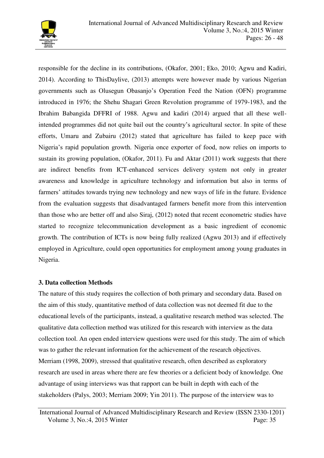

responsible for the decline in its contributions, (Okafor, 2001; Eko, 2010; Agwu and Kadiri, 2014). According to ThisDaylive, (2013) attempts were however made by various Nigerian governments such as Olusegun Obasanjo's Operation Feed the Nation (OFN) programme introduced in 1976; the Shehu Shagari Green Revolution programme of 1979-1983, and the Ibrahim Babangida DFFRI of 1988. Agwu and kadiri (2014) argued that all these wellintended programmes did not quite bail out the country's agricultural sector. In spite of these efforts, Umaru and Zubairu (2012) stated that agriculture has failed to keep pace with Nigeria's rapid population growth. Nigeria once exporter of food, now relies on imports to sustain its growing population, (Okafor, 2011). Fu and Aktar (2011) work suggests that there are indirect benefits from ICT-enhanced services delivery system not only in greater awareness and knowledge in agriculture technology and information but also in terms of farmers' attitudes towards trying new technology and new ways of life in the future. Evidence from the evaluation suggests that disadvantaged farmers benefit more from this intervention than those who are better off and also Siraj, (2012) noted that recent econometric studies have started to recognize telecommunication development as a basic ingredient of economic growth. The contribution of ICTs is now being fully realized (Agwu 2013) and if effectively employed in Agriculture, could open opportunities for employment among young graduates in Nigeria.

#### **3. Data collection Methods**

The nature of this study requires the collection of both primary and secondary data. Based on the aim of this study, quantitative method of data collection was not deemed fit due to the educational levels of the participants, instead, a qualitative research method was selected. The qualitative data collection method was utilized for this research with interview as the data collection tool. An open ended interview questions were used for this study. The aim of which was to gather the relevant information for the achievement of the research objectives. Merriam (1998, 2009), stressed that qualitative research, often described as exploratory research are used in areas where there are few theories or a deficient body of knowledge. One advantage of using interviews was that rapport can be built in depth with each of the stakeholders (Palys, 2003; Merriam 2009; Yin 2011). The purpose of the interview was to

International Journal of Advanced Multidisciplinary Research and Review (ISSN 2330-1201) Volume 3, No.:4, 2015 Winter Page: 35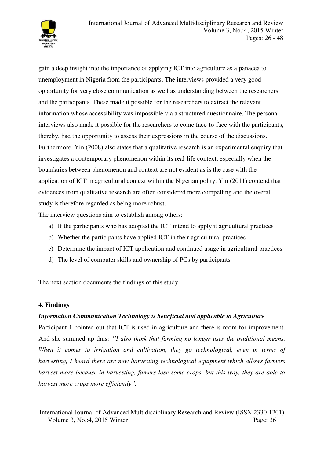

gain a deep insight into the importance of applying ICT into agriculture as a panacea to unemployment in Nigeria from the participants. The interviews provided a very good opportunity for very close communication as well as understanding between the researchers and the participants. These made it possible for the researchers to extract the relevant information whose accessibility was impossible via a structured questionnaire. The personal interviews also made it possible for the researchers to come face-to-face with the participants, thereby, had the opportunity to assess their expressions in the course of the discussions. Furthermore, Yin (2008) also states that a qualitative research is an experimental enquiry that investigates a contemporary phenomenon within its real-life context, especially when the boundaries between phenomenon and context are not evident as is the case with the application of ICT in agricultural context within the Nigerian polity. Yin (2011) contend that evidences from qualitative research are often considered more compelling and the overall study is therefore regarded as being more robust.

The interview questions aim to establish among others:

- a) If the participants who has adopted the ICT intend to apply it agricultural practices
- b) Whether the participants have applied ICT in their agricultural practices
- c) Determine the impact of ICT application and continued usage in agricultural practices
- d) The level of computer skills and ownership of PCs by participants

The next section documents the findings of this study.

# **4. Findings**

# *Information Communication Technology is beneficial and applicable to Agriculture*

Participant 1 pointed out that ICT is used in agriculture and there is room for improvement. And she summed up thus: *''I also think that farming no longer uses the traditional means. When it comes to irrigation and cultivation, they go technological, even in terms of harvesting, I heard there are new harvesting technological equipment which allows farmers harvest more because in harvesting, famers lose some crops, but this way, they are able to harvest more crops more efficiently".*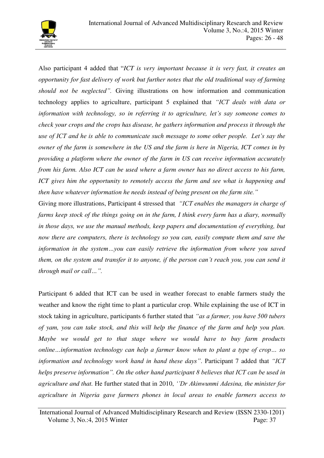

Also participant 4 added that "*ICT is very important because it is very fast, it creates an opportunity for fast delivery of work but further notes that the old traditional way of farming should not be neglected".* Giving illustrations on how information and communication technology applies to agriculture, participant 5 explained that *"ICT deals with data or information with technology, so in referring it to agriculture, let's say someone comes to check your crops and the crops has disease, he gathers information and process it through the use of ICT and he is able to communicate such message to some other people. Let's say the owner of the farm is somewhere in the US and the farm is here in Nigeria, ICT comes in by providing a platform where the owner of the farm in US can receive information accurately from his farm. Also ICT can be used where a farm owner has no direct access to his farm, ICT gives him the opportunity to remotely access the farm and see what is happening and then have whatever information he needs instead of being present on the farm site."*

Giving more illustrations, Participant 4 stressed that *"ICT enables the managers in charge of farms keep stock of the things going on in the farm, I think every farm has a diary, normally in those days, we use the manual methods, keep papers and documentation of everything, but now there are computers, there is technology so you can, easily compute them and save the information in the system…you can easily retrieve the information from where you saved them, on the system and transfer it to anyone, if the person can't reach you, you can send it through mail or call…".*

Participant 6 added that ICT can be used in weather forecast to enable farmers study the weather and know the right time to plant a particular crop. While explaining the use of ICT in stock taking in agriculture, participants 6 further stated that *"as a farmer, you have 500 tubers of yam, you can take stock, and this will help the finance of the farm and help you plan. Maybe we would get to that stage where we would have to buy farm products online…information technology can help a farmer know when to plant a type of crop… so information and technology work hand in hand these days"*. Participant 7 added that *"ICT helps preserve information". On the other hand participant 8 believes that ICT can be used in agriculture and that.* He further stated that in 2010, *''Dr Akinwunmi Adesina, the minister for agriculture in Nigeria gave farmers phones in local areas to enable farmers access to* 

International Journal of Advanced Multidisciplinary Research and Review (ISSN 2330-1201) Volume 3, No.:4, 2015 Winter Page: 37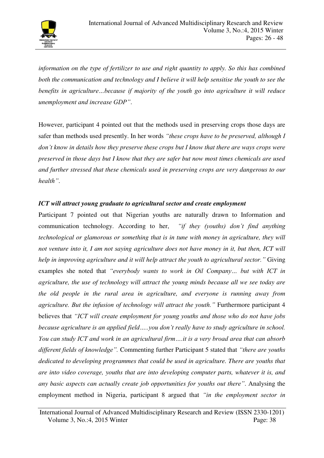

*information on the type of fertilizer to use and right quantity to apply. So this has combined both the communication and technology and I believe it will help sensitise the youth to see the benefits in agriculture…because if majority of the youth go into agriculture it will reduce unemployment and increase GDP"*.

However, participant 4 pointed out that the methods used in preserving crops those days are safer than methods used presently. In her words *"these crops have to be preserved, although I don't know in details how they preserve these crops but I know that there are ways crops were preserved in those days but I know that they are safer but now most times chemicals are used and further stressed that these chemicals used in preserving crops are very dangerous to our health"*.

# *ICT will attract young graduate to agricultural sector and create employment*

Participant 7 pointed out that Nigerian youths are naturally drawn to Information and communication technology. According to her, *"if they (youths) don't find anything technological or glamorous or something that is in tune with money in agriculture, they will not venture into it, I am not saying agriculture does not have money in it, but then, ICT will help in improving agriculture and it will help attract the youth to agricultural sector."* Giving examples she noted that *"everybody wants to work in Oil Company… but with ICT in agriculture, the use of technology will attract the young minds because all we see today are the old people in the rural area in agriculture, and everyone is running away from agriculture. But the infusion of technology will attract the youth."* Furthermore participant 4 believes that *"ICT will create employment for young youths and those who do not have jobs because agriculture is an applied field…..you don't really have to study agriculture in school. You can study ICT and work in an agricultural firm….it is a very broad area that can absorb different fields of knowledge".* Commenting further Participant 5 stated that *"there are youths dedicated to developing programmes that could be used in agriculture. There are youths that are into video coverage, youths that are into developing computer parts, whatever it is, and any basic aspects can actually create job opportunities for youths out there"*. Analysing the employment method in Nigeria, participant 8 argued that *"in the employment sector in* 

International Journal of Advanced Multidisciplinary Research and Review (ISSN 2330-1201) Volume 3, No.:4, 2015 Winter Page: 38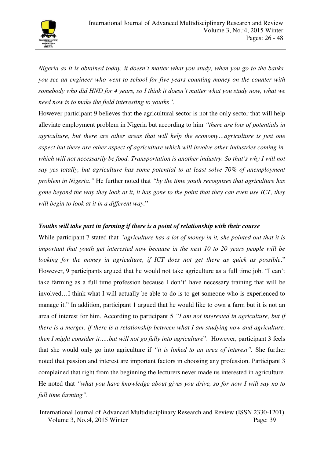

*Nigeria as it is obtained today, it doesn't matter what you study, when you go to the banks, you see an engineer who went to school for five years counting money on the counter with somebody who did HND for 4 years, so I think it doesn't matter what you study now, what we need now is to make the field interesting to youths"*.

However participant 9 believes that the agricultural sector is not the only sector that will help alleviate employment problem in Nigeria but according to him *"there are lots of potentials in agriculture, but there are other areas that will help the economy…agriculture is just one aspect but there are other aspect of agriculture which will involve other industries coming in, which will not necessarily be food. Transportation is another industry. So that's why I will not say yes totally, but agriculture has some potential to at least solve 70% of unemployment problem in Nigeria."* He further noted that *"by the time youth recognizes that agriculture has gone beyond the way they look at it, it has gone to the point that they can even use ICT, they will begin to look at it in a different way.*"

# *Youths will take part in farming if there is a point of relationship with their course*

While participant 7 stated that *"agriculture has a lot of money in it, she pointed out that it is important that youth get interested now because in the next 10 to 20 years people will be looking for the money in agriculture, if ICT does not get there as quick as possible.*" However, 9 participants argued that he would not take agriculture as a full time job. "I can't take farming as a full time profession because I don't' have necessary training that will be involved…I think what I will actually be able to do is to get someone who is experienced to manage it." In addition, participant 1 argued that he would like to own a farm but it is not an area of interest for him. According to participant 5 *"I am not interested in agriculture, but if there is a merger, if there is a relationship between what I am studying now and agriculture, then I might consider it.….but will not go fully into agriculture*". However, participant 3 feels that she would only go into agriculture if *"it is linked to an area of interest".* She further noted that passion and interest are important factors in choosing any profession. Participant 3 complained that right from the beginning the lecturers never made us interested in agriculture. He noted that *"what you have knowledge about gives you drive, so for now I will say no to full time farming"*.

International Journal of Advanced Multidisciplinary Research and Review (ISSN 2330-1201) Volume 3, No.:4, 2015 Winter Page: 39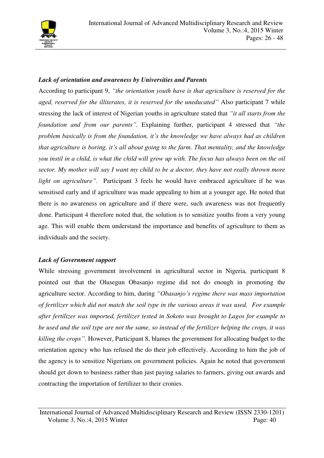

# *Lack of orientation and awareness by Universities and Parents*

According to participant 9, *"the orientation youth have is that agriculture is reserved for the aged, reserved for the illiterates, it is reserved for the uneducated"* Also participant 7 while stressing the lack of interest of Nigerian youths in agriculture stated that *"it all starts from the foundation and from our parents".* Explaining further, participant 4 stressed that *"the problem basically is from the foundation, it's the knowledge we have always had as children that agriculture is boring, it's all about going to the farm. That mentality, and the knowledge you instil in a child, is what the child will grow up with. The focus has always been on the oil sector. My mother will say I want my child to be a doctor, they have not really thrown more light on agriculture".* Participant 3 feels he would have embraced agriculture if he was sensitised early and if agriculture was made appealing to him at a younger age. He noted that there is no awareness on agriculture and if there were, such awareness was not frequently done. Participant 4 therefore noted that, the solution is to sensitize youths from a very young age. This will enable them understand the importance and benefits of agriculture to them as individuals and the society.

## *Lack of Government support*

While stressing government involvement in agricultural sector in Nigeria, participant 8 pointed out that the Olusegun Obasanjo regime did not do enough in promoting the agriculture sector. According to him, during *"Obasanjo's regime there was mass importation of fertilizer which did not match the soil type in the various areas it was used. For example after fertilizer was imported, fertilizer tested in Sokoto was brought to Lagos for example to be used and the soil type are not the same, so instead of the fertilizer helping the crops, it was killing the crops"*. However, Participant 8, blames the government for allocating budget to the orientation agency who has refused the do their job effectively. According to him the job of the agency is to sensitize Nigerians on government policies. Again he noted that government should get down to business rather than just paying salaries to farmers, giving out awards and contracting the importation of fertilizer to their cronies.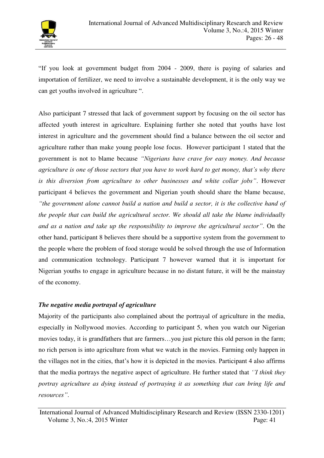

"If you look at government budget from 2004 - 2009, there is paying of salaries and importation of fertilizer, we need to involve a sustainable development, it is the only way we can get youths involved in agriculture ".

Also participant 7 stressed that lack of government support by focusing on the oil sector has affected youth interest in agriculture. Explaining further she noted that youths have lost interest in agriculture and the government should find a balance between the oil sector and agriculture rather than make young people lose focus. However participant 1 stated that the government is not to blame because *"Nigerians have crave for easy money. And because agriculture is one of those sectors that you have to work hard to get money, that's why there is this diversion from agriculture to other businesses and white collar jobs"*. However participant 4 believes the government and Nigerian youth should share the blame because, *"the government alone cannot build a nation and build a sector, it is the collective hand of the people that can build the agricultural sector. We should all take the blame individually and as a nation and take up the responsibility to improve the agricultural sector"*. On the other hand, participant 8 believes there should be a supportive system from the government to the people where the problem of food storage would be solved through the use of Information and communication technology. Participant 7 however warned that it is important for Nigerian youths to engage in agriculture because in no distant future, it will be the mainstay of the economy.

## *The negative media portrayal of agriculture*

Majority of the participants also complained about the portrayal of agriculture in the media, especially in Nollywood movies. According to participant 5, when you watch our Nigerian movies today, it is grandfathers that are farmers…you just picture this old person in the farm; no rich person is into agriculture from what we watch in the movies. Farming only happen in the villages not in the cities, that's how it is depicted in the movies. Participant 4 also affirms that the media portrays the negative aspect of agriculture. He further stated that *''I think they portray agriculture as dying instead of portraying it as something that can bring life and resources"*.

International Journal of Advanced Multidisciplinary Research and Review (ISSN 2330-1201) Volume 3, No.:4, 2015 Winter Page: 41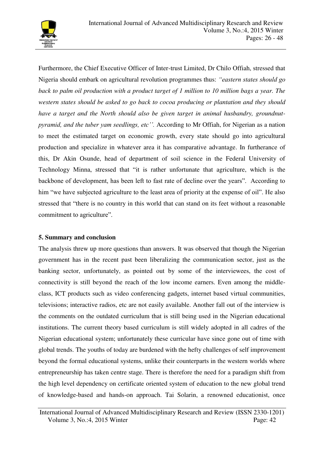

Furthermore, the Chief Executive Officer of Inter-trust Limited, Dr Chilo Offiah, stressed that Nigeria should embark on agricultural revolution programmes thus: *"eastern states should go back to palm oil production with a product target of 1 million to 10 million bags a year. The western states should be asked to go back to cocoa producing or plantation and they should have a target and the North should also be given target in animal husbandry, groundnutpyramid, and the tuber yam seedlings, etc''.* According to Mr Offiah, for Nigerian as a nation to meet the estimated target on economic growth, every state should go into agricultural production and specialize in whatever area it has comparative advantage. In furtherance of this, Dr Akin Osunde, head of department of soil science in the Federal University of Technology Minna, stressed that "it is rather unfortunate that agriculture, which is the backbone of development, has been left to fast rate of decline over the years". According to him "we have subjected agriculture to the least area of priority at the expense of oil". He also stressed that "there is no country in this world that can stand on its feet without a reasonable commitment to agriculture".

## **5. Summary and conclusion**

The analysis threw up more questions than answers. It was observed that though the Nigerian government has in the recent past been liberalizing the communication sector, just as the banking sector, unfortunately, as pointed out by some of the interviewees, the cost of connectivity is still beyond the reach of the low income earners. Even among the middleclass, ICT products such as video conferencing gadgets, internet based virtual communities, televisions; interactive radios, etc are not easily available. Another fall out of the interview is the comments on the outdated curriculum that is still being used in the Nigerian educational institutions. The current theory based curriculum is still widely adopted in all cadres of the Nigerian educational system; unfortunately these curricular have since gone out of time with global trends. The youths of today are burdened with the hefty challenges of self improvement beyond the formal educational systems, unlike their counterparts in the western worlds where entrepreneurship has taken centre stage. There is therefore the need for a paradigm shift from the high level dependency on certificate oriented system of education to the new global trend of knowledge-based and hands-on approach. Tai Solarin, a renowned educationist, once

International Journal of Advanced Multidisciplinary Research and Review (ISSN 2330-1201) Volume 3, No.:4, 2015 Winter Page: 42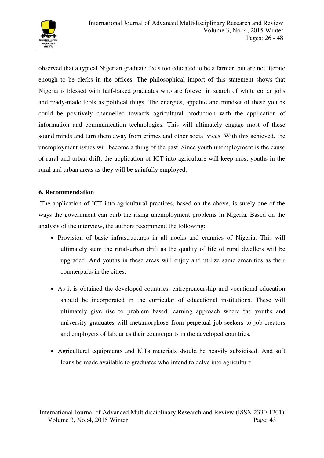

observed that a typical Nigerian graduate feels too educated to be a farmer, but are not literate enough to be clerks in the offices. The philosophical import of this statement shows that Nigeria is blessed with half-baked graduates who are forever in search of white collar jobs and ready-made tools as political thugs. The energies, appetite and mindset of these youths could be positively channelled towards agricultural production with the application of information and communication technologies. This will ultimately engage most of these sound minds and turn them away from crimes and other social vices. With this achieved, the unemployment issues will become a thing of the past. Since youth unemployment is the cause of rural and urban drift, the application of ICT into agriculture will keep most youths in the rural and urban areas as they will be gainfully employed.

## **6. Recommendation**

 The application of ICT into agricultural practices, based on the above, is surely one of the ways the government can curb the rising unemployment problems in Nigeria. Based on the analysis of the interview, the authors recommend the following:

- Provision of basic infrastructures in all nooks and crannies of Nigeria. This will ultimately stem the rural-urban drift as the quality of life of rural dwellers will be upgraded. And youths in these areas will enjoy and utilize same amenities as their counterparts in the cities.
- As it is obtained the developed countries, entrepreneurship and vocational education should be incorporated in the curricular of educational institutions. These will ultimately give rise to problem based learning approach where the youths and university graduates will metamorphose from perpetual job-seekers to job-creators and employers of labour as their counterparts in the developed countries.
- Agricultural equipments and ICTs materials should be heavily subsidised. And soft loans be made available to graduates who intend to delve into agriculture.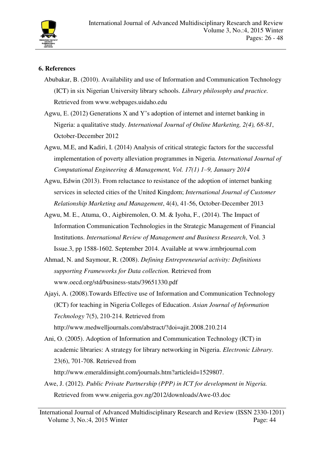

# **6. References**

- Abubakar, B. (2010). Availability and use of Information and Communication Technology (ICT) in six Nigerian University library schools. *Library philosophy and practice.* Retrieved from www.webpages.uidaho.edu
- Agwu, E. (2012) Generations X and Y's adoption of internet and internet banking in Nigeria: a qualitative study. *International Journal of Online Marketing, 2(4), 68-81*, October-December 2012
- Agwu, M.E, and Kadiri, I. (2014) Analysis of critical strategic factors for the successful implementation of poverty alleviation programmes in Nigeria. *International Journal of Computational Engineering & Management, Vol. 17(1) 1–9, January 2014*
- Agwu, Edwin (2013). From reluctance to resistance of the adoption of internet banking services in selected cities of the United Kingdom; *International Journal of Customer Relationship Marketing and Management*, 4(4), 41-56, October-December 2013
- Agwu, M. E., Atuma, O., Aigbiremolen, O. M. & Iyoha, F., (2014). The Impact of Information Communication Technologies in the Strategic Management of Financial Institutions. *International Review of Management and Business Research*, Vol. 3 Issue.3, pp 1588-1602. September 2014. Available at www.irmbrjournal.com
- Ahmad, N. and Saymour, R. (2008). *Defining Entrepreneurial activity: Definitions supporting Frameworks for Data collection.* Retrieved from www.oecd.org/std/business-stats/39651330.pdf
- Ajayi, A. (2008).Towards Effective use of Information and Communication Technology (ICT) for teaching in Nigeria Colleges of Education. *Asian Journal of Information Technology* 7(5), 210-214. Retrieved from http://www.medwelljournals.com/abstract/?doi=ajit.2008.210.214
- Ani, O. (2005). Adoption of Information and Communication Technology (ICT) in academic libraries: A strategy for library networking in Nigeria. *Electronic Library.*  23(6), 701-708. Retrieved from http://www.emeraldinsight.com/journals.htm?articleid=1529807.
- Awe, J. (2012). *Public Private Partnership (PPP) in ICT for development in Nigeria.* Retrieved from www.enigeria.gov.ng/2012/downloads/Awe-03.doc

International Journal of Advanced Multidisciplinary Research and Review (ISSN 2330-1201) Volume 3, No.:4, 2015 Winter Page: 44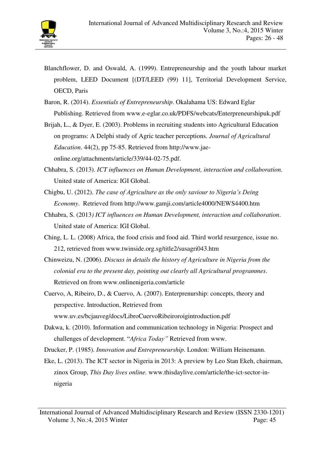

- Blanchflower, D. and Oswald, A. (1999). Entrepreneurship and the youth labour market problem, LEED Document [(DT/LEED (99) 11], Territorial Development Service, OECD, Paris
- Baron, R. (2014). *Essentials of Entrepreneurship*. Okalahama US: Edward Eglar Publishing. Retrieved from www.e-eglar.co.uk/PDFS/webcats/Enterpreneurshipuk.pdf
- Brijah, L., & Dyer, E. (2003). Problems in recruiting students into Agricultural Education on programs: A Delphi study of Agric teacher perceptions. *Journal of Agricultural Education*. 44(2), pp 75-85. Retrieved from http://www.jaeonline.org/attachments/article/339/44-02-75.pdf.
- Chhabra, S. (2013). *ICT influences on Human Development, interaction and collaboration.* United state of America: IGI Global.
- Chigbu, U. (2012). *The case of Agriculture as the only saviour to Nigeria's Deing Economy*. Retrieved from http://www.gamji.com/article4000/NEWS4400.htm
- Chhabra, S. (2013*) ICT influences on Human Development, interaction and collaboration*. United state of America: IGI Global.
- Ching, L. L. (2008) Africa, the food crisis and food aid. Third world resurgence, issue no. 212, retrieved from www.twinside.org.sg/title2/susagri043.htm
- Chinweizu, N. (2006). *Discuss in details the history of Agriculture in Nigeria from the colonial era to the present day, pointing out clearly all Agricultural programmes*. Retrieved on from www.onlinenigeria.com/article
- Cuervo, A, Ribeiro, D., & Cuervo, A. (2007). Enterprenurship: concepts, theory and perspective. Introduction, Retrieved from www.uv.es/bcjauveg/docs/LibroCuervoRibeiroroigintroduction.pdf
- Dakwa, k. (2010). Information and communication technology in Nigeria: Prospect and challenges of development. "*Africa Today"* Retrieved from www.
- Drucker, P. (1985). *Innovation and Entrepreneurship*. London: William Heinemann.
- Eke, L. (2013). The ICT sector in Nigeria in 2013: A preview by Leo Stan Ekeh, chairman, zinox Group, *This Day lives online.* www.thisdaylive.com/article/the-ict-sector-innigeria

International Journal of Advanced Multidisciplinary Research and Review (ISSN 2330-1201) Volume 3, No.:4, 2015 Winter Page: 45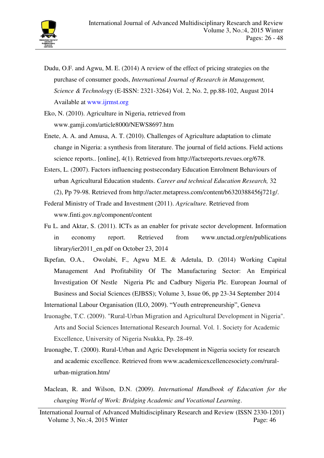- Dudu, O.F. and Agwu, M. E. (2014) A review of the effect of pricing strategies on the purchase of consumer goods, *International Journal of Research in Management, Science & Technolog*y (E-ISSN: 2321-3264) Vol. 2, No. 2, pp.88-102, August 2014 Available at www.ijrmst.org
- Eko, N. (2010). Agriculture in Nigeria, retrieved from www.gamji.com/article8000/NEWS8697.htm
- Enete, A. A. and Amusa, A. T. (2010). Challenges of Agriculture adaptation to climate change in Nigeria: a synthesis from literature. The journal of field actions. Field actions science reports.. [online], 4(1). Retrieved from http://factsreports.revues.org/678.
- Esters, L. (2007). Factors influencing postsecondary Education Enrolment Behaviours of urban Agricultural Education students. *Career and technical Education Research,* 32 (2), Pp 79-98. Retrieved from http://acter.metapress.com/content/b6320388456j721g/.
- Federal Ministry of Trade and Investment (2011). *Agriculture.* Retrieved from www.finti.gov.ng/component/content
- Fu L. and Aktar, S. (2011). ICTs as an enabler for private sector development. Information in economy report. Retrieved from www.unctad.org/en/publications library/ier2011\_en.pdf on October 23, 2014
- Ikpefan, O.A., Owolabi, F., Agwu M.E. & Adetula, D. (2014) Working Capital Management And Profitability Of The Manufacturing Sector: An Empirical Investigation Of Nestle Nigeria Plc and Cadbury Nigeria Plc. European Journal of Business and Social Sciences (EJBSS); Volume 3, Issue 06, pp 23-34 September 2014
- International Labour Organisation (ILO, 2009). "Youth entrepreneurship", Geneva
- Iruonagbe, T.C. (2009). "Rural-Urban Migration and Agricultural Development in Nigeria". Arts and Social Sciences International Research Journal. Vol. 1. Society for Academic Excellence, University of Nigeria Nsukka, Pp. 28-49.
- Iruonagbe, T. (2000). Rural-Urban and Agric Development in Nigeria society for research and academic excellence. Retrieved from www.academicexcellencesociety.com/ruralurban-migration.htm/
- Maclean, R. and Wilson, D.N. (2009). *International Handbook of Education for the changing World of Work: Bridging Academic and Vocational Learning*.

International Journal of Advanced Multidisciplinary Research and Review (ISSN 2330-1201) Volume 3, No.:4, 2015 Winter Page: 46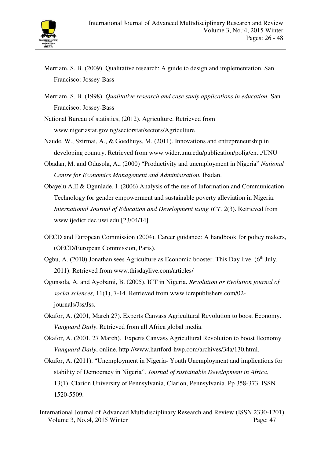

- Merriam, S. B. (2009). Qualitative research: A guide to design and implementation. San Francisco: Jossey-Bass
- Merriam, S. B. (1998). *Qualitative research and case study applications in education.* San Francisco: Jossey-Bass
- National Bureau of statistics, (2012). Agriculture. Retrieved from www.nigeriastat.gov.ng/sectorstat/sectors/Agriculture
- Naude, W., Szirmai, A., & Goedhuys, M. (2011). Innovations and entrepreneurship in developing country. Retrieved from www.wider.unu.edu/publication/polig/en.../UNU
- Obadan, M. and Odusola, A., (2000) "Productivity and unemployment in Nigeria" *National Centre for Economics Management and Administration.* Ibadan.
- Obayelu A.E & Ogunlade, I. (2006) Analysis of the use of Information and Communication Technology for gender empowerment and sustainable poverty alleviation in Nigeria. *International Journal of Education and Development using ICT.* 2(3). Retrieved from www.ijedict.dec.uwi.edu [23/04/14]
- OECD and European Commission (2004). Career guidance: A handbook for policy makers, (OECD/European Commission, Paris).
- Ogbu, A. (2010) Jonathan sees Agriculture as Economic booster. This Day live.  $(6<sup>th</sup>$  July, 2011). Retrieved from www.thisdaylive.com/articles/
- Ogunsola, A. and Ayobami, B. (2005). ICT in Nigeria. *Revolution or Evolution journal of social sciences,* 11(1), 7-14. Retrieved from www.icrepublishers.com/02 journals/Jss/Jss.
- Okafor, A. (2001, March 27). Experts Canvass Agricultural Revolution to boost Economy. *Vanguard Daily*. Retrieved from all Africa global media.
- Okafor, A. (2001, 27 March). Experts Canvass Agricultural Revolution to boost Economy *Vanguard Daily*, online, http://www.hartford-hwp.com/archives/34a/130.html.
- Okafor, A. (2011). "Unemployment in Nigeria- Youth Unemployment and implications for stability of Democracy in Nigeria". *Journal of sustainable Development in Africa*, 13(1), Clarion University of Pennsylvania, Clarion, Pennsylvania. Pp 358-373. ISSN 1520-5509.

International Journal of Advanced Multidisciplinary Research and Review (ISSN 2330-1201) Volume 3, No.:4, 2015 Winter Page: 47